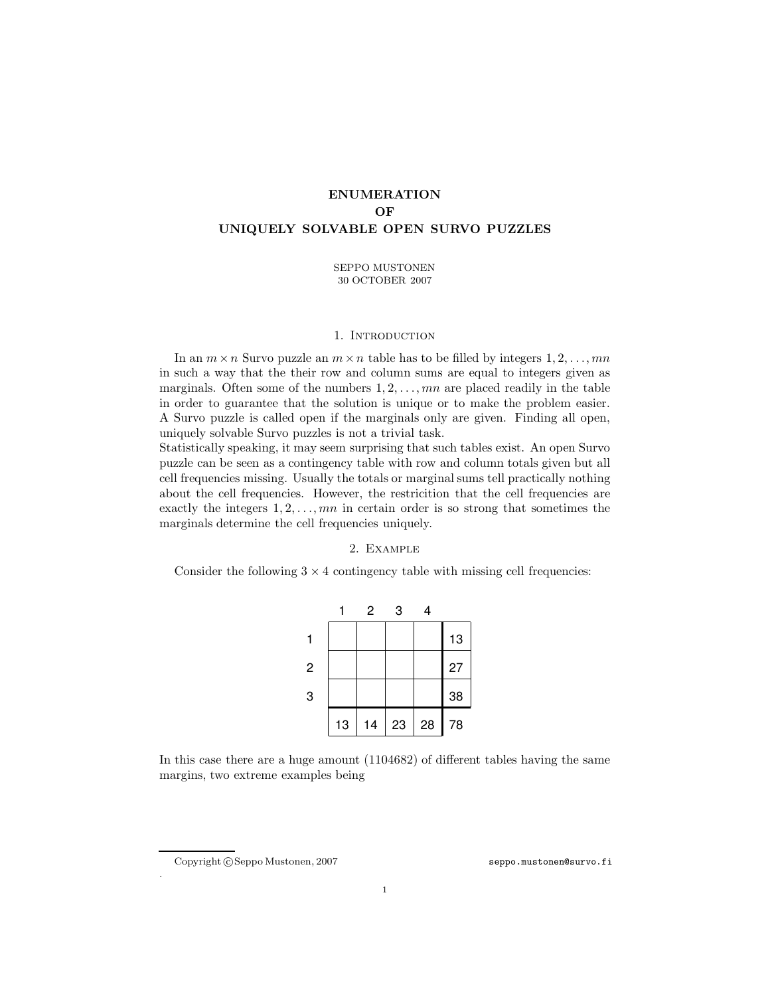# ENUMERATION OF UNIQUELY SOLVABLE OPEN SURVO PUZZLES

SEPPO MUSTONEN 30 OCTOBER 2007

#### 1. INTRODUCTION

In an  $m \times n$  Survo puzzle an  $m \times n$  table has to be filled by integers  $1, 2, \ldots, mn$ in such a way that the their row and column sums are equal to integers given as marginals. Often some of the numbers  $1, 2, \ldots, mn$  are placed readily in the table in order to guarantee that the solution is unique or to make the problem easier. A Survo puzzle is called open if the marginals only are given. Finding all open, uniquely solvable Survo puzzles is not a trivial task.

Statistically speaking, it may seem surprising that such tables exist. An open Survo puzzle can be seen as a contingency table with row and column totals given but all cell frequencies missing. Usually the totals or marginal sums tell practically nothing about the cell frequencies. However, the restricition that the cell frequencies are exactly the integers  $1, 2, \ldots, mn$  in certain order is so strong that sometimes the marginals determine the cell frequencies uniquely.

## 2. Example

Consider the following  $3 \times 4$  contingency table with missing cell frequencies:

|                |    | 2  | 3  | 4  |    |
|----------------|----|----|----|----|----|
|                |    |    |    |    | 13 |
| $\overline{c}$ |    |    |    |    | 27 |
| 3              |    |    |    |    | 38 |
|                | 13 | 14 | 23 | 28 | 78 |

In this case there are a huge amount (1104682) of different tables having the same margins, two extreme examples being

.

Copyright c Seppo Mustonen, 2007 [seppo.mustonen@survo.fi](mailto:seppo.mustonen@survo.fi)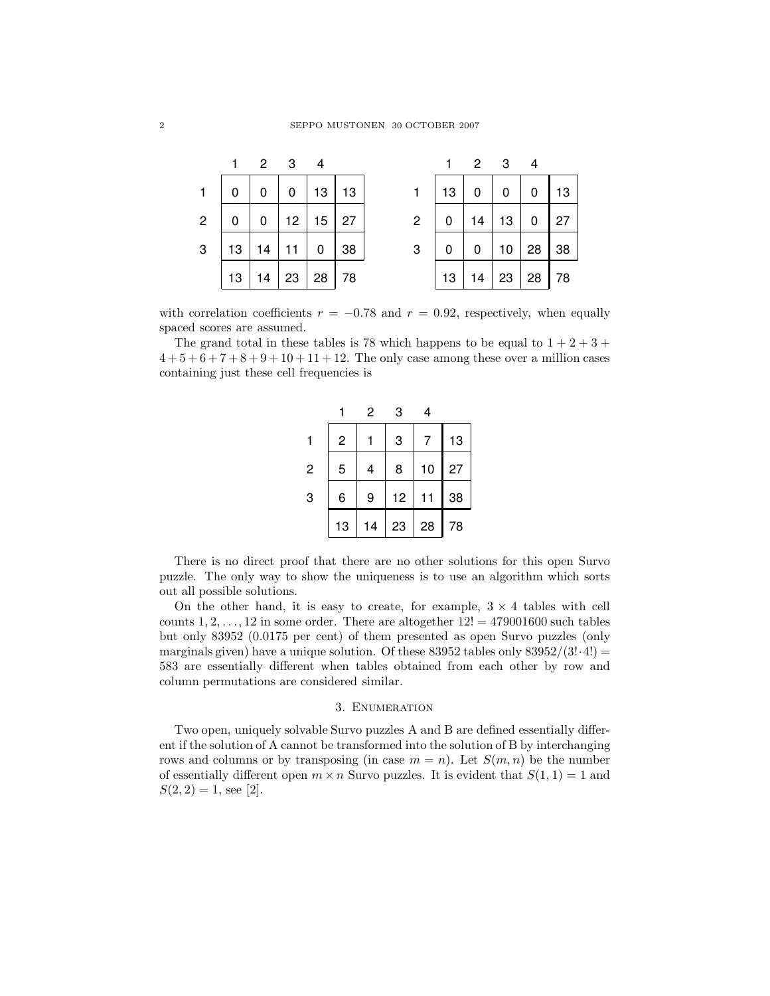|                |    |    | $2 \quad 3$     | -4 |    |                |    |    | $2 \quad 3$ |    |    |
|----------------|----|----|-----------------|----|----|----------------|----|----|-------------|----|----|
| $\mathbf{1}$   | 0  |    | 0               | 13 | 13 |                | 13 | 0  | 0           | 0  | 13 |
| $\overline{2}$ | 0  | 0  | 12 <sub>2</sub> | 15 | 27 | $\overline{2}$ | 0  | 14 | 13          | 0  | 27 |
| 3              | 13 | 14 |                 | 0  | 38 | 3              | 0  | 0  | 10          | 28 | 38 |
|                | 13 | 14 | 23              | 28 | 78 |                | 13 | 14 | 23          | 28 | 78 |

with correlation coefficients  $r = -0.78$  and  $r = 0.92$ , respectively, when equally spaced scores are assumed.

The grand total in these tables is 78 which happens to be equal to  $1 + 2 + 3 +$  $4+5+6+7+8+9+10+11+12$ . The only case among these over a million cases containing just these cell frequencies is

|                |    | 2  | 3  | 4  |    |
|----------------|----|----|----|----|----|
|                | 2  |    | 3  |    | 13 |
| $\overline{c}$ | 5  | 4  | 8  | 10 | 27 |
| 3              | 6  | 9  | 12 | 11 | 38 |
|                | 13 | 14 | 23 | 28 | 78 |

There is no direct proof that there are no other solutions for this open Survo puzzle. The only way to show the uniqueness is to use an algorithm which sorts out all possible solutions.

On the other hand, it is easy to create, for example,  $3 \times 4$  tables with cell counts  $1, 2, \ldots, 12$  in some order. There are altogether  $12! = 479001600$  such tables but only 83952 (0.0175 per cent) of them presented as open Survo puzzles (only marginals given) have a unique solution. Of these  $83952$  tables only  $83952/(3! \cdot 4!)$  = 583 are essentially different when tables obtained from each other by row and column permutations are considered similar.

### 3. Enumeration

Two open, uniquely solvable Survo puzzles A and B are defined essentially different if the solution of A cannot be transformed into the solution of B by interchanging rows and columns or by transposing (in case  $m = n$ ). Let  $S(m, n)$  be the number of essentially different open  $m \times n$  Survo puzzles. It is evident that  $S(1, 1) = 1$  and  $S(2, 2) = 1$ , see [2].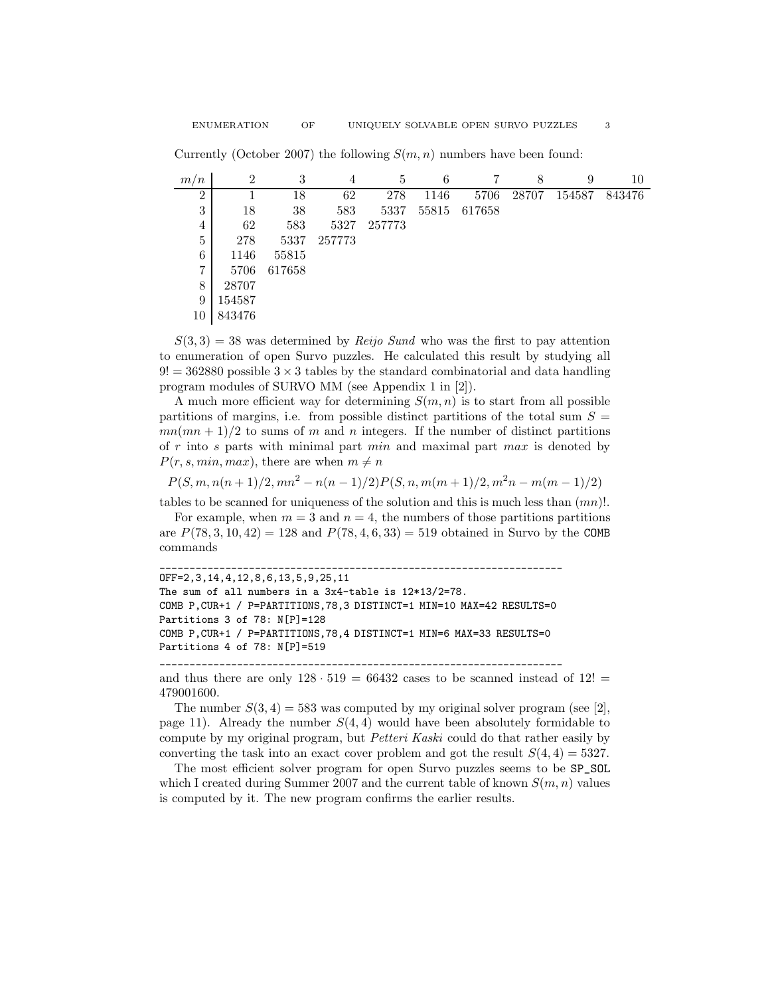| ۰.<br>۰. |  |  |
|----------|--|--|
|          |  |  |
|          |  |  |
|          |  |  |

Currently (October 2007) the following  $S(m, n)$  numbers have been found:

| m/n            | $\overline{2}$ | 3      | 4      | 5      | 6     |        | 8     | 9      | 10     |
|----------------|----------------|--------|--------|--------|-------|--------|-------|--------|--------|
| $\overline{2}$ |                | 18     | 62     | 278    | 1146  | 5706   | 28707 | 154587 | 843476 |
| 3              | 18             | 38     | 583    | 5337   | 55815 | 617658 |       |        |        |
| 4              | 62             | 583    | 5327   | 257773 |       |        |       |        |        |
| 5              | 278            | 5337   | 257773 |        |       |        |       |        |        |
| 6              | 1146           | 55815  |        |        |       |        |       |        |        |
| 7              | 5706           | 617658 |        |        |       |        |       |        |        |
| 8              | 28707          |        |        |        |       |        |       |        |        |
| 9              | 154587         |        |        |        |       |        |       |        |        |
| 10             | 843476         |        |        |        |       |        |       |        |        |

 $S(3,3) = 38$  was determined by Reijo Sund who was the first to pay attention to enumeration of open Survo puzzles. He calculated this result by studying all  $9! = 362880$  possible  $3 \times 3$  tables by the standard combinatorial and data handling program modules of SURVO MM (see Appendix 1 in [2]).

A much more efficient way for determining  $S(m, n)$  is to start from all possible partitions of margins, i.e. from possible distinct partitions of the total sum  $S =$  $mn(mn+1)/2$  to sums of m and n integers. If the number of distinct partitions of  $r$  into  $s$  parts with minimal part  $min$  and maximal part  $max$  is denoted by  $P(r, s, min, max)$ , there are when  $m \neq n$ 

 $P(S, m, n(n+1)/2, mn^{2} - n(n-1)/2)P(S, n, m(m+1)/2, m^{2}n - m(m-1)/2)$ 

tables to be scanned for uniqueness of the solution and this is much less than  $(mn)!$ .

For example, when  $m = 3$  and  $n = 4$ , the numbers of those partitions partitions are  $P(78, 3, 10, 42) = 128$  and  $P(78, 4, 6, 33) = 519$  obtained in Survo by the COMB commands

```
____________________________________________________________________
OFF=2,3,14,4,12,8,6,13,5,9,25,11
The sum of all numbers in a 3x4-table is 12*13/2=78.
COMB P,CUR+1 / P=PARTITIONS,78,3 DISTINCT=1 MIN=10 MAX=42 RESULTS=0
Partitions 3 of 78: N[P]=128
COMB P,CUR+1 / P=PARTITIONS,78,4 DISTINCT=1 MIN=6 MAX=33 RESULTS=0
Partitions 4 of 78: N[P]=519
```
\_\_\_\_\_\_\_\_\_\_\_\_\_\_\_\_\_\_\_\_\_\_\_\_\_\_\_\_\_\_\_\_\_\_\_\_\_\_\_\_\_\_\_\_\_\_\_\_\_\_\_\_\_\_\_\_\_\_\_\_\_\_\_\_\_\_\_\_

and thus there are only  $128 \cdot 519 = 66432$  cases to be scanned instead of  $12! =$ 479001600.

The number  $S(3,4) = 583$  was computed by my original solver program (see [2], page 11). Already the number  $S(4,4)$  would have been absolutely formidable to compute by my original program, but Petteri Kaski could do that rather easily by converting the task into an exact cover problem and got the result  $S(4, 4) = 5327$ .

The most efficient solver program for open Survo puzzles seems to be SP\_SOL which I created during Summer 2007 and the current table of known  $S(m, n)$  values is computed by it. The new program confirms the earlier results.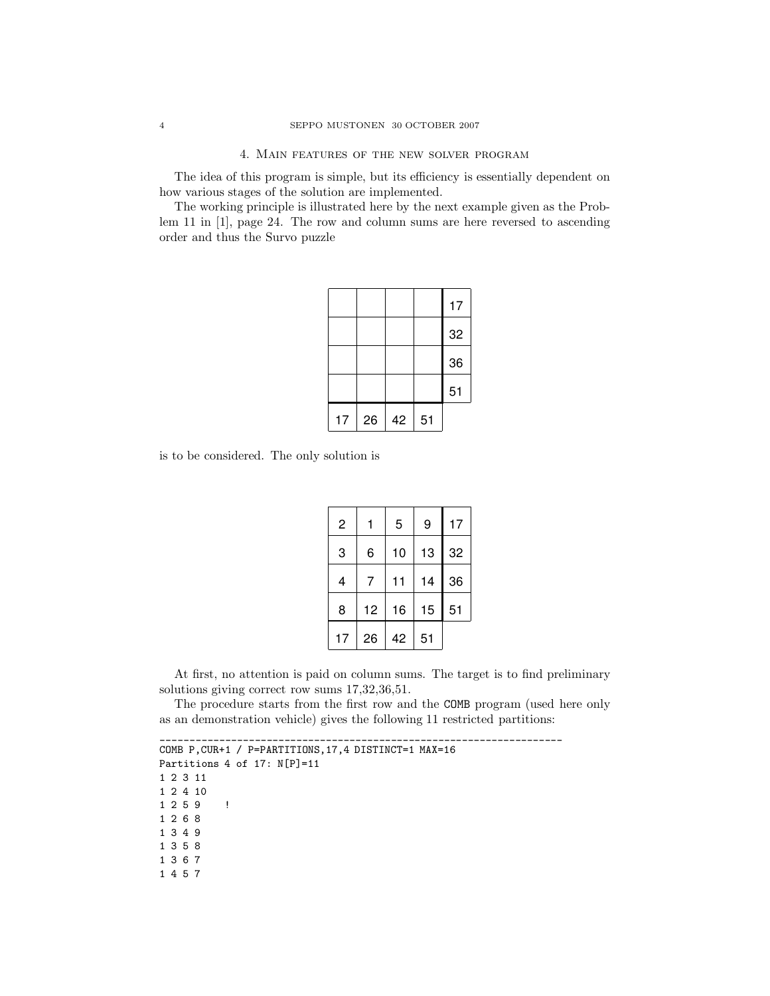The idea of this program is simple, but its efficiency is essentially dependent on how various stages of the solution are implemented.

The working principle is illustrated here by the next example given as the Problem 11 in [1], page 24. The row and column sums are here reversed to ascending order and thus the Survo puzzle

|    |    |    |    | 17 |
|----|----|----|----|----|
|    |    |    |    | 32 |
|    |    |    |    | 36 |
|    |    |    |    | 51 |
| 17 | 26 | 42 | 51 |    |

is to be considered. The only solution is

| $\overline{c}$ |    | 5  | 9  | 17 |
|----------------|----|----|----|----|
| 3              | 6  | 10 | 13 | 32 |
| 4              | 7  | 11 | 14 | 36 |
| 8              | 12 | 16 | 15 | 51 |
| 17             | 26 | 42 | 51 |    |

At first, no attention is paid on column sums. The target is to find preliminary solutions giving correct row sums 17,32,36,51.

The procedure starts from the first row and the COMB program (used here only as an demonstration vehicle) gives the following 11 restricted partitions:

\_\_\_\_\_\_\_\_\_\_\_\_\_\_\_\_\_\_\_\_\_\_\_\_\_\_\_\_\_\_\_\_\_\_\_\_\_\_\_\_\_\_\_\_\_\_\_\_\_\_\_\_\_\_\_\_\_\_\_\_\_\_\_\_\_\_\_\_ COMB P,CUR+1 / P=PARTITIONS,17,4 DISTINCT=1 MAX=16 Partitions 4 of 17:  $N[P]=11$ 1 2 3 11 1 2 4 10 1 2 5 9 ! 1 2 6 8 1 3 4 9 1 3 5 8 1 3 6 7 1 4 5 7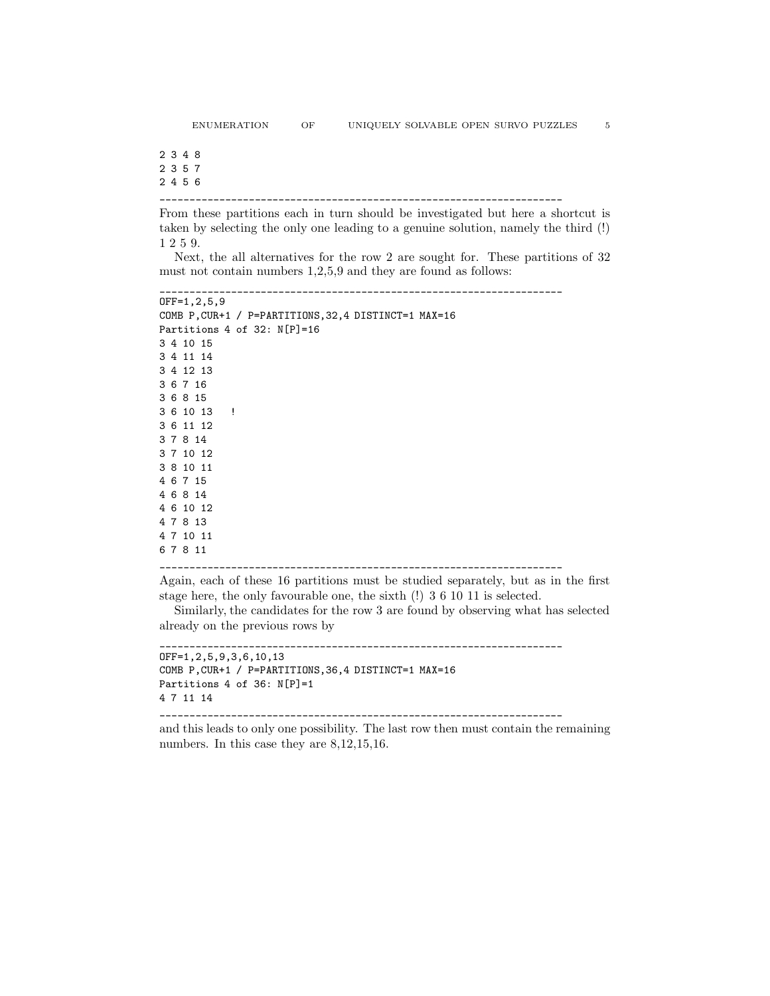2 3 4 8 2 3 5 7 2 4 5 6

\_\_\_\_\_\_\_\_\_\_\_\_\_\_\_\_\_\_\_\_\_\_\_\_\_\_\_\_\_\_\_\_\_\_\_\_\_\_\_\_\_\_\_\_\_\_\_\_\_\_\_\_\_\_\_\_\_\_\_\_\_\_\_\_\_\_\_\_

From these partitions each in turn should be investigated but here a shortcut is taken by selecting the only one leading to a genuine solution, namely the third (!) 1 2 5 9.

Next, the all alternatives for the row 2 are sought for. These partitions of 32 must not contain numbers 1,2,5,9 and they are found as follows:

\_\_\_\_\_\_\_\_\_\_\_\_\_\_\_\_\_\_\_\_\_\_\_\_\_\_\_\_\_\_\_\_\_\_\_\_\_\_\_\_\_\_\_\_\_\_\_\_\_\_\_\_\_\_\_\_\_\_\_\_\_\_\_\_\_\_\_\_

```
OFF=1,2,5,9
COMB P,CUR+1 / P=PARTITIONS,32,4 DISTINCT=1 MAX=16
Partitions 4 of 32: N[P]=16
3 4 10 15
3 4 11 14
3 4 12 13
3 6 7 16
3 6 8 15
3 6 10 13 !
3 6 11 12
3 7 8 14
3 7 10 12
3 8 10 11
4 6 7 15
4 6 8 14
4 6 10 12
4 7 8 13
4 7 10 11
6 7 8 11
```
Again, each of these 16 partitions must be studied separately, but as in the first

\_\_\_\_\_\_\_\_\_\_\_\_\_\_\_\_\_\_\_\_\_\_\_\_\_\_\_\_\_\_\_\_\_\_\_\_\_\_\_\_\_\_\_\_\_\_\_\_\_\_\_\_\_\_\_\_\_\_\_\_\_\_\_\_\_\_\_\_

stage here, the only favourable one, the sixth (!) 3 6 10 11 is selected.

Similarly, the candidates for the row 3 are found by observing what has selected already on the previous rows by

```
____________________________________________________________________
OFF=1,2,5,9,3,6,10,13
COMB P,CUR+1 / P=PARTITIONS,36,4 DISTINCT=1 MAX=16
Partitions 4 of 36: N[P]=1
4 7 11 14
```
\_\_\_\_\_\_\_\_\_\_\_\_\_\_\_\_\_\_\_\_\_\_\_\_\_\_\_\_\_\_\_\_\_\_\_\_\_\_\_\_\_\_\_\_\_\_\_\_\_\_\_\_\_\_\_\_\_\_\_\_\_\_\_\_\_\_\_\_

and this leads to only one possibility. The last row then must contain the remaining numbers. In this case they are  $8,12,15,16$ .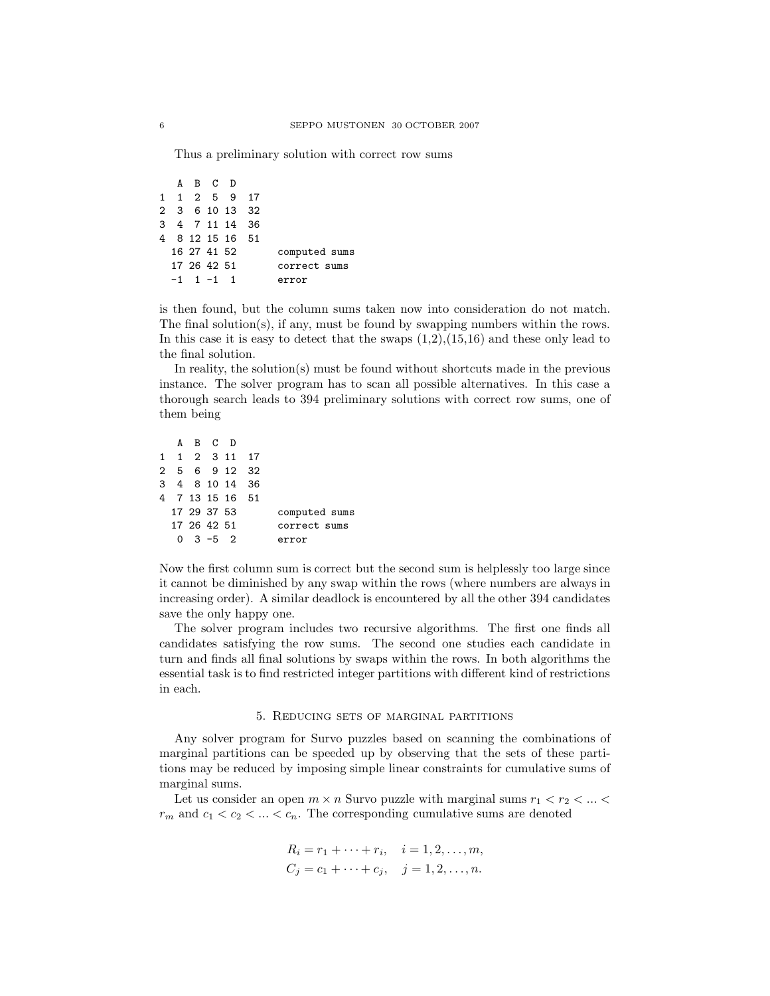Thus a preliminary solution with correct row sums

A B C D 1 1 2 5 9 17 2 3 6 10 13 32 3 4 7 11 14 36 4 8 12 15 16 51 16 27 41 52 computed sums 17 26 42 51 correct sums  $-1$  1  $-1$  1 error

is then found, but the column sums taken now into consideration do not match. The final solution(s), if any, must be found by swapping numbers within the rows. In this case it is easy to detect that the swaps  $(1,2),(15,16)$  and these only lead to the final solution.

In reality, the solution(s) must be found without shortcuts made in the previous instance. The solver program has to scan all possible alternatives. In this case a thorough search leads to 394 preliminary solutions with correct row sums, one of them being

|  | A B C D         |  |                 |               |
|--|-----------------|--|-----------------|---------------|
|  |                 |  | 1 1 2 3 11 17   |               |
|  |                 |  | 2 5 6 9 12 32   |               |
|  |                 |  | 3 4 8 10 14 36  |               |
|  |                 |  | 4 7 13 15 16 51 |               |
|  | 17 29 37 53     |  |                 | computed sums |
|  | 17 26 42 51     |  |                 | correct sums  |
|  | $0 \t3 - 5 \t2$ |  |                 | error         |

Now the first column sum is correct but the second sum is helplessly too large since it cannot be diminished by any swap within the rows (where numbers are always in increasing order). A similar deadlock is encountered by all the other 394 candidates save the only happy one.

The solver program includes two recursive algorithms. The first one finds all candidates satisfying the row sums. The second one studies each candidate in turn and finds all final solutions by swaps within the rows. In both algorithms the essential task is to find restricted integer partitions with different kind of restrictions in each.

#### 5. Reducing sets of marginal partitions

Any solver program for Survo puzzles based on scanning the combinations of marginal partitions can be speeded up by observing that the sets of these partitions may be reduced by imposing simple linear constraints for cumulative sums of marginal sums.

Let us consider an open  $m \times n$  Survo puzzle with marginal sums  $r_1 < r_2 < ... <$  $r_m$  and  $c_1 < c_2 < \ldots < c_n$ . The corresponding cumulative sums are denoted

$$
R_i = r_1 + \dots + r_i, \quad i = 1, 2, \dots, m,
$$
  

$$
C_j = c_1 + \dots + c_j, \quad j = 1, 2, \dots, n.
$$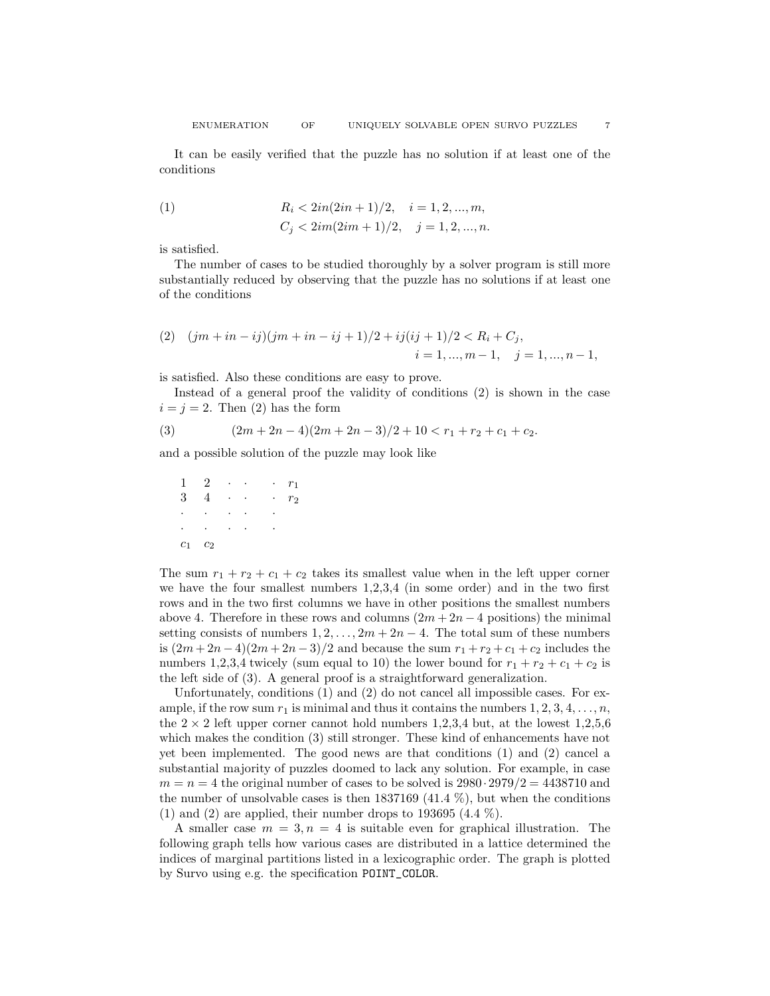It can be easily verified that the puzzle has no solution if at least one of the conditions

(1) 
$$
R_i < 2in(2in + 1)/2, \quad i = 1, 2, ..., m,
$$

$$
C_j < 2im(2im + 1)/2, \quad j = 1, 2, ..., n.
$$

is satisfied.

The number of cases to be studied thoroughly by a solver program is still more substantially reduced by observing that the puzzle has no solutions if at least one of the conditions

(2) 
$$
(jm + in - ij)(jm + in - ij + 1)/2 + ij(ij + 1)/2 < R_i + C_j,
$$
  
\n $i = 1, ..., m - 1, \quad j = 1, ..., n - 1,$ 

is satisfied. Also these conditions are easy to prove.

Instead of a general proof the validity of conditions (2) is shown in the case  $i = j = 2$ . Then (2) has the form

(3) 
$$
(2m+2n-4)(2m+2n-3)/2+10 < r_1+r_2+c_1+c_2.
$$

and a possible solution of the puzzle may look like

 $1 \quad 2 \quad \cdots \quad \cdots \quad r_1$  $3 \t 4 \t \cdot \t \cdot \t r_2$ · · · · ·  $\cdot$   $\cdot$  $c_1$   $c_2$ 

The sum  $r_1 + r_2 + c_1 + c_2$  takes its smallest value when in the left upper corner we have the four smallest numbers 1,2,3,4 (in some order) and in the two first rows and in the two first columns we have in other positions the smallest numbers above 4. Therefore in these rows and columns  $(2m + 2n - 4$  positions) the minimal setting consists of numbers  $1, 2, \ldots, 2m + 2n - 4$ . The total sum of these numbers is  $(2m + 2n - 4)(2m + 2n - 3)/2$  and because the sum  $r_1 + r_2 + c_1 + c_2$  includes the numbers 1,2,3,4 twicely (sum equal to 10) the lower bound for  $r_1 + r_2 + c_1 + c_2$  is the left side of (3). A general proof is a straightforward generalization.

Unfortunately, conditions (1) and (2) do not cancel all impossible cases. For example, if the row sum  $r_1$  is minimal and thus it contains the numbers  $1, 2, 3, 4, \ldots, n$ , the  $2 \times 2$  left upper corner cannot hold numbers 1,2,3,4 but, at the lowest 1,2,5,6 which makes the condition (3) still stronger. These kind of enhancements have not yet been implemented. The good news are that conditions (1) and (2) cancel a substantial majority of puzzles doomed to lack any solution. For example, in case  $m = n = 4$  the original number of cases to be solved is  $2980 \cdot 2979/2 = 4438710$  and the number of unsolvable cases is then  $1837169$  (41.4 %), but when the conditions (1) and (2) are applied, their number drops to 193695 (4.4  $\%$ ).

A smaller case  $m = 3, n = 4$  is suitable even for graphical illustration. The following graph tells how various cases are distributed in a lattice determined the indices of marginal partitions listed in a lexicographic order. The graph is plotted by Survo using e.g. the specification POINT\_COLOR.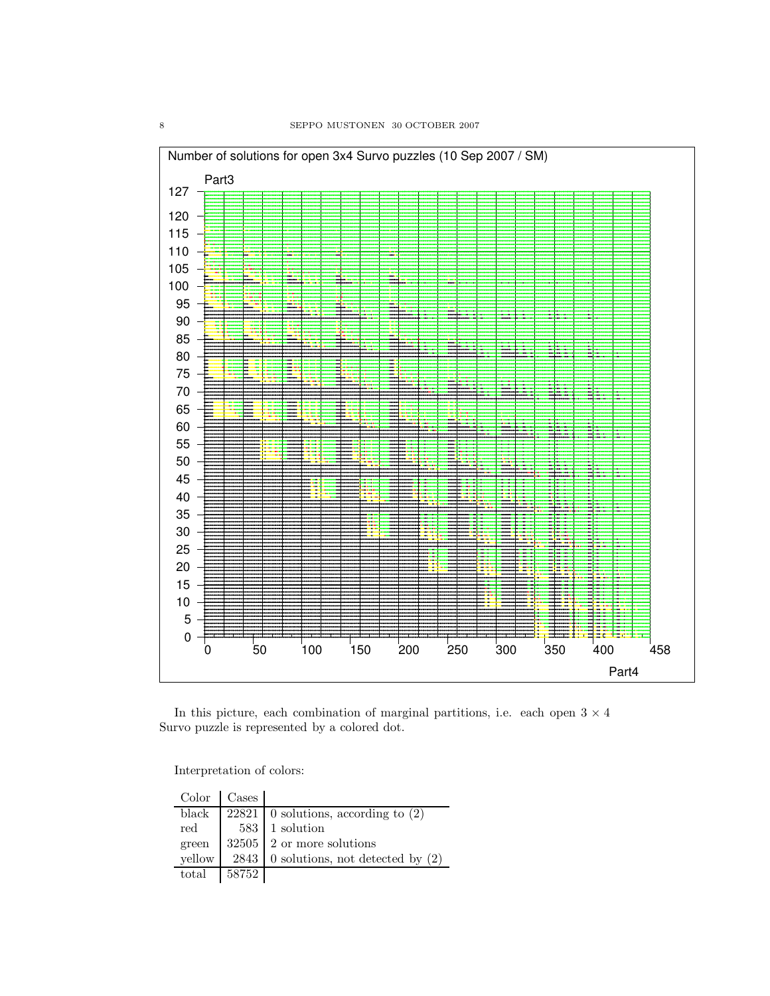

In this picture, each combination of marginal partitions, i.e. each open  $3\times 4$ Survo puzzle is represented by a colored dot.

Interpretation of colors:

|        | $Color \mid Cases$ |                                           |
|--------|--------------------|-------------------------------------------|
| black  |                    | 22821   0 solutions, according to $(2)$   |
| red    |                    | 583 1 solution                            |
| green  |                    | $32505$ 2 or more solutions               |
| vellow |                    | 2843   0 solutions, not detected by $(2)$ |
| total  | 58752              |                                           |